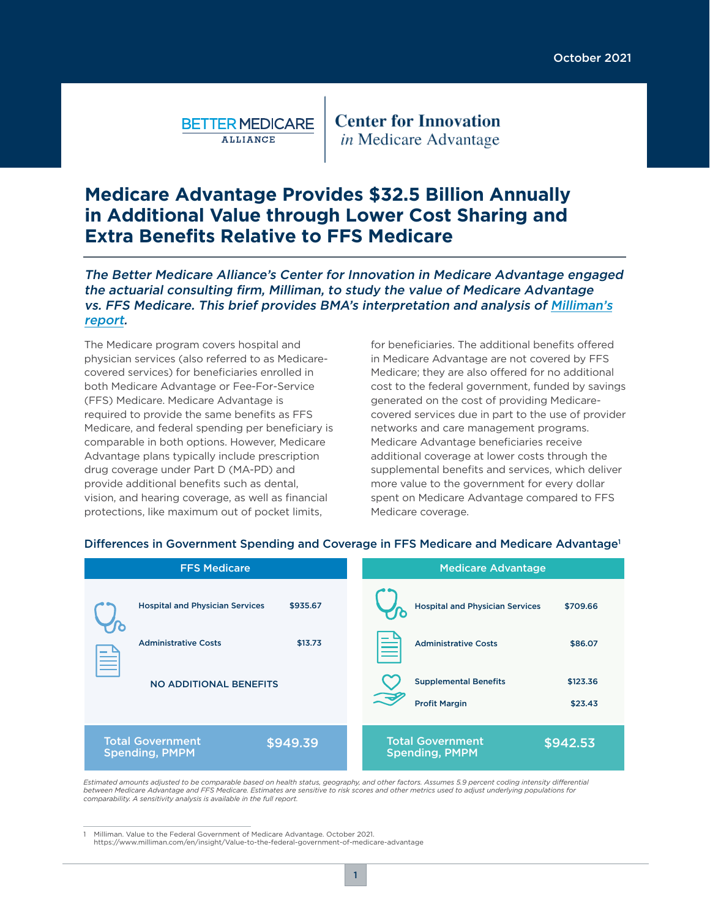**BETTER MEDICARE ALLIANCE** 

**Center for Innovation** *in* Medicare Advantage

# **Medicare Advantage Provides \$32.5 Billion Annually in Additional Value through Lower Cost Sharing and Extra Benefits Relative to FFS Medicare**

### The Better Medicare Alliance's Center for Innovation in Medicare Advantage engaged the actuarial consulting firm, Milliman, to study the value of Medicare Advantage [vs. FFS Medicare. This brief provides BMA's interpretation and analysis of Milliman's](http://www.milliman.com/en/insight/Value-to-the-federal-government-of-medicare-advantage) report.

The Medicare program covers hospital and physician services (also referred to as Medicarecovered services) for beneficiaries enrolled in both Medicare Advantage or Fee-For-Service (FFS) Medicare. Medicare Advantage is required to provide the same benefits as FFS Medicare, and federal spending per beneficiary is comparable in both options. However, Medicare Advantage plans typically include prescription drug coverage under Part D (MA-PD) and provide additional benefits such as dental, vision, and hearing coverage, as well as financial protections, like maximum out of pocket limits,

for beneficiaries. The additional benefits offered in Medicare Advantage are not covered by FFS Medicare; they are also offered for no additional cost to the federal government, funded by savings generated on the cost of providing Medicarecovered services due in part to the use of provider networks and care management programs. Medicare Advantage beneficiaries receive additional coverage at lower costs through the supplemental benefits and services, which deliver more value to the government for every dollar spent on Medicare Advantage compared to FFS Medicare coverage.

| <b>FFS Medicare</b>                                          | <b>Medicare Advantage</b>                                                   |
|--------------------------------------------------------------|-----------------------------------------------------------------------------|
| \$935.67<br><b>Hospital and Physician Services</b>           | <b>Hospital and Physician Services</b><br>\$709.66                          |
| <b>Administrative Costs</b><br>\$13.73<br>$\sim$             | <b>Administrative Costs</b><br>\$86.07                                      |
| <b>NO ADDITIONAL BENEFITS</b>                                | <b>Supplemental Benefits</b><br>\$123.36<br><b>Profit Margin</b><br>\$23.43 |
| <b>Total Government</b><br>\$949.39<br><b>Spending, PMPM</b> | <b>Total Government</b><br>\$942.53<br><b>Spending, PMPM</b>                |

#### Differences in Government Spending and Coverage in FFS Medicare and Medicare Advantage<sup>1</sup>

*Estimated amounts adjusted to be comparable based on health status, geography, and other factors. Assumes 5.9 percent coding intensity differential between Medicare Advantage and FFS Medicare. Estimates are sensitive to risk scores and other metrics used to adjust underlying populations for comparability. A sensitivity analysis is available in the full report.*

1 Milliman. Value to the Federal Government of Medicare Advantage. October 2021. https://www.milliman.com/en/insight/Value-to-the-federal-government-of-medicare-advantage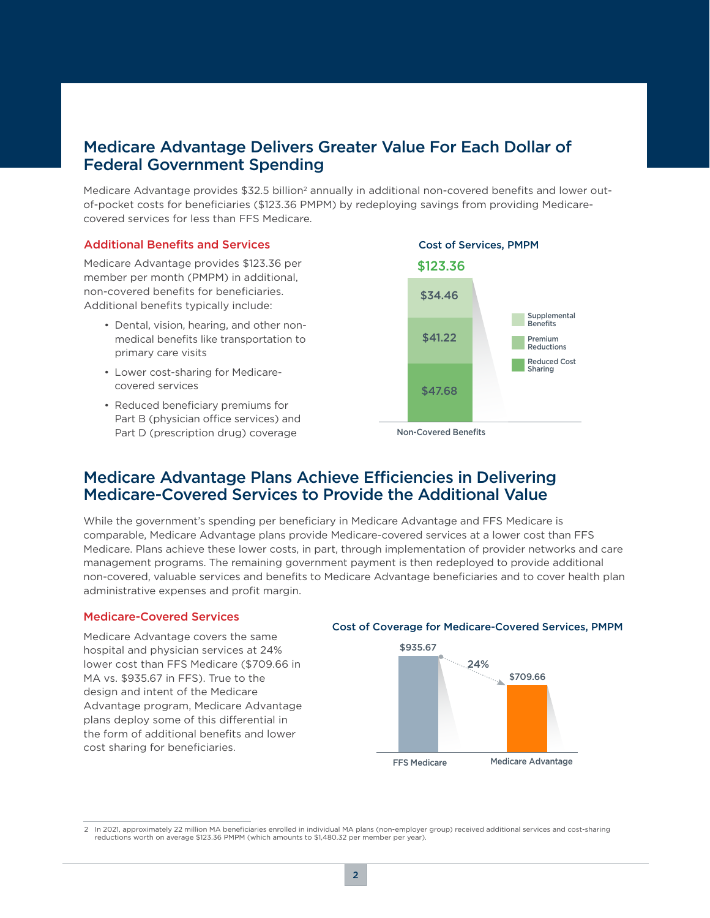## Medicare Advantage Delivers Greater Value For Each Dollar of Federal Government Spending

Medicare Advantage provides \$32.5 billion<sup>2</sup> annually in additional non-covered benefits and lower outof-pocket costs for beneficiaries (\$123.36 PMPM) by redeploying savings from providing Medicarecovered services for less than FFS Medicare.

### Additional Benefits and Services

Medicare Advantage provides \$123.36 per member per month (PMPM) in additional, non-covered benefits for beneficiaries. Additional benefits typically include:

- Dental, vision, hearing, and other nonmedical benefits like transportation to primary care visits
- Lower cost-sharing for Medicarecovered services
- Reduced beneficiary premiums for Part B (physician office services) and Part D (prescription drug) coverage



Non-Covered Benefits

## Medicare Advantage Plans Achieve Efficiencies in Delivering Medicare-Covered Services to Provide the Additional Value

While the government's spending per beneficiary in Medicare Advantage and FFS Medicare is comparable, Medicare Advantage plans provide Medicare-covered services at a lower cost than FFS Medicare. Plans achieve these lower costs, in part, through implementation of provider networks and care management programs. The remaining government payment is then redeployed to provide additional non-covered, valuable services and benefits to Medicare Advantage beneficiaries and to cover health plan administrative expenses and profit margin.

### Medicare-Covered Services

Medicare Advantage covers the same hospital and physician services at 24% lower cost than FFS Medicare (\$709.66 in MA vs. \$935.67 in FFS). True to the design and intent of the Medicare Advantage program, Medicare Advantage plans deploy some of this differential in the form of additional benefits and lower cost sharing for beneficiaries.

#### Cost of Coverage for Medicare-Covered Services, PMPM



<sup>2</sup> In 2021, approximately 22 million MA beneficiaries enrolled in individual MA plans (non-employer group) received additional services and cost-sharing reductions worth on average \$123.36 PMPM (which amounts to \$1,480.32 per member per year).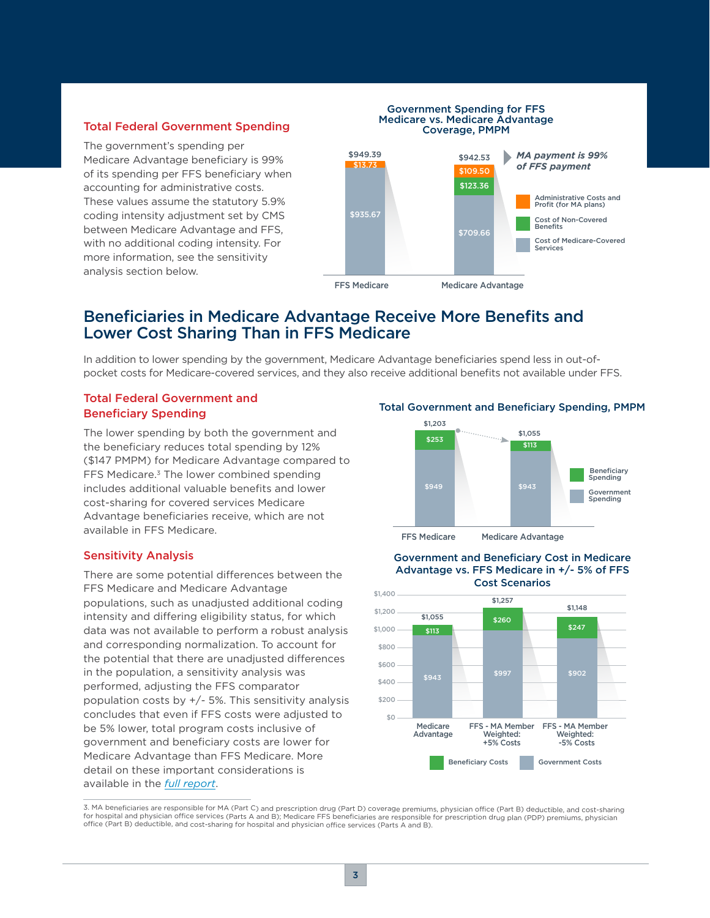### Total Federal Government Spending

The government's spending per Medicare Advantage beneficiary is 99% of its spending per FFS beneficiary when accounting for administrative costs. These values assume the statutory 5.9% coding intensity adjustment set by CMS between Medicare Advantage and FFS, with no additional coding intensity. For more information, see the sensitivity analysis section below.

#### Government Spending for FFS Medicare vs. Medicare Advantage Coverage, PMPM



## Beneficiaries in Medicare Advantage Receive More Benefits and Lower Cost Sharing Than in FFS Medicare

In addition to lower spending by the government, Medicare Advantage beneficiaries spend less in out-ofpocket costs for Medicare-covered services, and they also receive additional benefits not available under FFS.

### Total Federal Government and Beneficiary Spending

The lower spending by both the government and the beneficiary reduces total spending by 12% (\$147 PMPM) for Medicare Advantage compared to FFS Medicare.<sup>3</sup> The lower combined spending includes additional valuable benefits and lower cost-sharing for covered services Medicare Advantage beneficiaries receive, which are not available in FFS Medicare.

### Sensitivity Analysis

There are some potential differences between the FFS Medicare and Medicare Advantage populations, such as unadjusted additional coding intensity and differing eligibility status, for which data was not available to perform a robust analysis and corresponding normalization. To account for the potential that there are unadjusted differences in the population, a sensitivity analysis was performed, adjusting the FFS comparator population costs by  $+/-$  5%. This sensitivity analysis concludes that even if FFS costs were adjusted to be 5% lower, total program costs inclusive of government and beneficiary costs are lower for Medicare Advantage than FFS Medicare. More detail on these important considerations is available in the *[full report](http://www.milliman.com/en/insight/Value-to-the-federal-government-of-medicare-advantage)*.

### Total Government and Beneficiary Spending, PMPM



#### Government and Beneficiary Cost in Medicare Advantage vs. FFS Medicare in +/- 5% of FFS Cost Scenarios



3. MA beneficiaries are responsible for MA (Part C) and prescription drug (Part D) coverage premiums, physician office (Part B) deductible, and cost-sharing for hospital and physician office services (Parts A and B); Medicare FFS beneficiaries are responsible for prescription drug plan (PDP) premiums, physician office (Part B) deductible, and cost-sharing for hospital and physician office services (Parts A and B).